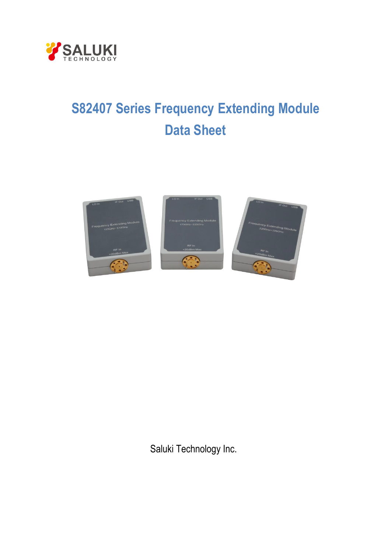

# **S82407 Series Frequency Extending Module Data Sheet**



Saluki Technology Inc.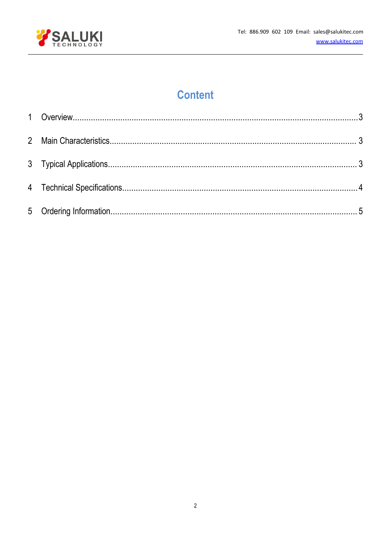

# **Content**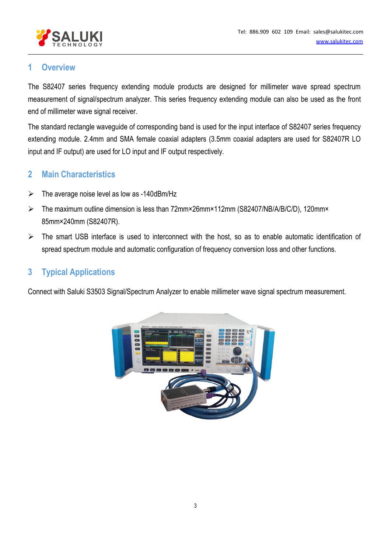

## <span id="page-2-0"></span>**1 Overview**

The S82407 series frequency extending module products are designed for millimeter wave spread spectrum measurement of signal/spectrum analyzer. This series frequency extending module can also be used as the front end of millimeter wave signal receiver.

The standard rectangle waveguide of corresponding band is used for the input interface of S82407 series frequency extending module. 2.4mm and SMA female coaxial adapters (3.5mm coaxial adapters are used for S82407R LO input and IF output) are used for LO input and IF output respectively.

## <span id="page-2-1"></span>**2 Main Characteristics**

- $\triangleright$  The average noise level as low as -140dBm/Hz
- The maximum outline dimension is less than 72mm×26mm×112mm (S82407/NB/A/B/C/D), 120mm× 85mm×240mm (S82407R).
- $\triangleright$  The smart USB interface is used to interconnect with the host, so as to enable automatic identification of spread spectrum module and automatic configuration of frequency conversion loss and other functions.

# <span id="page-2-2"></span>**3 Typical Applications**

Connect with Saluki S3503 Signal/Spectrum Analyzer to enable millimeter wave signal spectrum measurement.

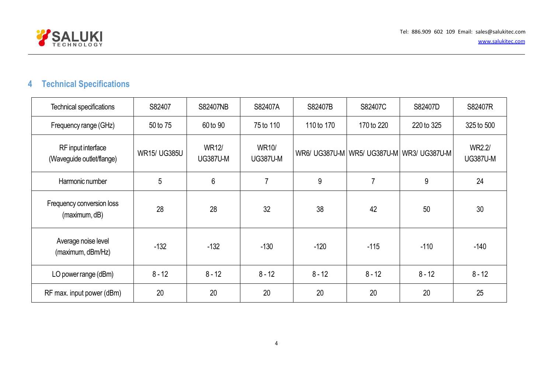

# **4 Technical Specifications**

<span id="page-3-0"></span>

| Technical specifications                        | S82407              | S82407NB                        | S82407A                         | S82407B    | S82407C        | S82407D                                       | S82407R                   |
|-------------------------------------------------|---------------------|---------------------------------|---------------------------------|------------|----------------|-----------------------------------------------|---------------------------|
| Frequency range (GHz)                           | 50 to 75            | 60 to 90                        | 75 to 110                       | 110 to 170 | 170 to 220     | 220 to 325                                    | 325 to 500                |
| RF input interface<br>(Waveguide outlet/flange) | <b>WR15/ UG385U</b> | <b>WR12/</b><br><b>UG387U-M</b> | <b>WR10/</b><br><b>UG387U-M</b> |            |                | WR6/ UG387U-M   WR5/ UG387U-M   WR3/ UG387U-M | WR2.2/<br><b>UG387U-M</b> |
| Harmonic number                                 | 5                   | 6                               | $\overline{7}$                  | 9          | $\overline{7}$ | 9                                             | 24                        |
| Frequency conversion loss<br>(maximum, dB)      | 28                  | 28                              | 32                              | 38         | 42             | 50                                            | 30                        |
| Average noise level<br>(maximum, dBm/Hz)        | $-132$              | $-132$                          | $-130$                          | $-120$     | $-115$         | $-110$                                        | $-140$                    |
| LO power range (dBm)                            | $8 - 12$            | $8 - 12$                        | $8 - 12$                        | $8 - 12$   | $8 - 12$       | $8 - 12$                                      | $8 - 12$                  |
| RF max. input power (dBm)                       | 20                  | 20                              | 20                              | 20         | 20             | 20                                            | 25                        |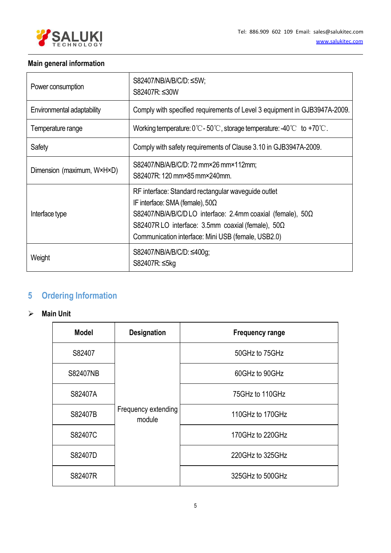

#### <span id="page-4-0"></span>**Main general information**

| Power consumption          | S82407/NB/A/B/C/D: ≤5W;<br>S82407R: ≤30W                                                                                                                                                                                                                                            |
|----------------------------|-------------------------------------------------------------------------------------------------------------------------------------------------------------------------------------------------------------------------------------------------------------------------------------|
| Environmental adaptability | Comply with specified requirements of Level 3 equipment in GJB3947A-2009.                                                                                                                                                                                                           |
| Temperature range          | Working temperature: $0^{\circ}\text{C}$ - $50^{\circ}\text{C}$ , storage temperature: -40 $^{\circ}\text{C}$ to +70 $^{\circ}\text{C}$ .                                                                                                                                           |
| Safety                     | Comply with safety requirements of Clause 3.10 in GJB3947A-2009.                                                                                                                                                                                                                    |
| Dimension (maximum, W×H×D) | S82407/NB/A/B/C/D: 72 mm×26 mm×112mm;<br>S82407R: 120 mm×85 mm×240mm.                                                                                                                                                                                                               |
| Interface type             | RF interface: Standard rectangular waveguide outlet<br>IF interface: SMA (female), $50\Omega$<br>S82407/NB/A/B/C/DLO interface: 2.4mm coaxial (female), $50\Omega$<br>S82407RLO interface: 3.5mm coaxial (female), $50\Omega$<br>Communication interface: Mini USB (female, USB2.0) |
| Weight                     | S82407/NB/A/B/C/D: ≤400g;<br>S82407R: ≤5kg                                                                                                                                                                                                                                          |

# **5 Ordering Information**

#### **Main Unit**

| <b>Model</b> | <b>Designation</b>            | <b>Frequency range</b> |
|--------------|-------------------------------|------------------------|
| S82407       |                               | 50 GHz to 75 GHz       |
| S82407NB     |                               | 60GHz to 90GHz         |
| S82407A      |                               | 75GHz to 110GHz        |
| S82407B      | Frequency extending<br>module | 110GHz to 170GHz       |
| S82407C      |                               | 170GHz to 220GHz       |
| S82407D      |                               | 220 GHz to 325 GHz     |
| S82407R      |                               | 325 GHz to 500 GHz     |